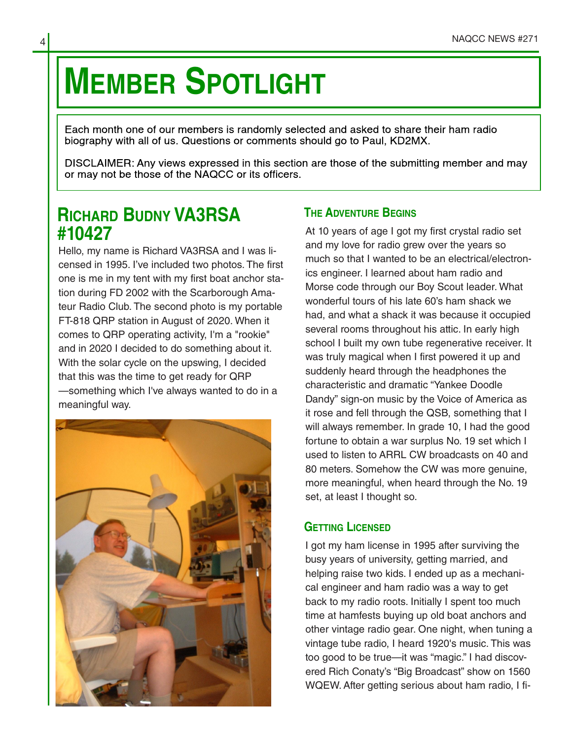# **MEMBER SPOTLIGHT**

Each month one of our members is randomly selected and asked to share their ham radio biography with all of us. Questions or comments should go to Paul, KD2MX.

DISCLAIMER: Any views expressed in this section are those of the submitting member and may or may not be those of the NAQCC or its officers.

## **RICHARD BUDNY VA3RSA #10427**

Hello, my name is Richard VA3RSA and I was li‐ censed in 1995. I've included two photos. The first one is me in my tent with my first boat anchor sta‐ tion during FD 2002 with the Scarborough Ama‐ teur Radio Club. The second photo is my portable FT-818 QRP station in August of 2020. When it comes to QRP operating activity, I'm a "rookie" and in 2020 I decided to do something about it. With the solar cycle on the upswing, I decided that this was the time to get ready for QRP —something which I've always wanted to do in a meaningful way.



### **THE ADVENTURE BEGINS**

At 10 years of age I got my first crystal radio set and my love for radio grew over the years so much so that I wanted to be an electrical/electronics engineer. I learned about ham radio and Morse code through our Boy Scout leader. What wonderful tours of his late 60's ham shack we had, and what a shack it was because it occupied several rooms throughout his attic. In early high school I built my own tube regenerative receiver. It was truly magical when I first powered it up and suddenly heard through the headphones the characteristic and dramatic "Yankee Doodle Dandy" sign-on music by the Voice of America as it rose and fell through the QSB, something that I will always remember. In grade 10, I had the good fortune to obtain a war surplus No. 19 set which I used to listen to ARRL CW broadcasts on 40 and 80 meters. Somehow the CW was more genuine, more meaningful, when heard through the No. 19 set, at least I thought so.

#### **GETTING LICENSED**

I got my ham license in 1995 after surviving the busy years of university, getting married, and helping raise two kids. I ended up as a mechani‐ cal engineer and ham radio was a way to get back to my radio roots. Initially I spent too much time at hamfests buying up old boat anchors and other vintage radio gear. One night, when tuning a vintage tube radio, I heard 1920's music. This was too good to be true—it was "magic." I had discov‐ ered Rich Conaty's "Big Broadcast" show on 1560 WQEW. After getting serious about ham radio, I fi‐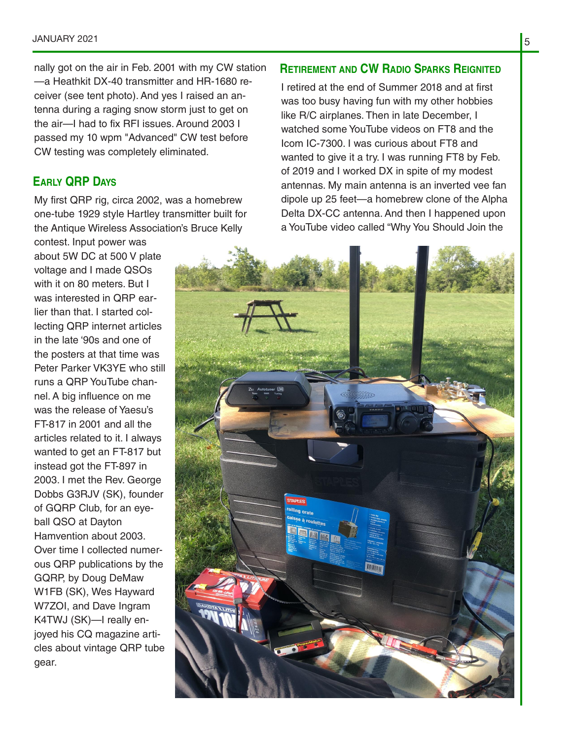#### JANUARY 2021

nally got on the air in Feb. 2001 with my CW station —a Heathkit DX-40 transmitter and HR-1680 re‐ ceiver (see tent photo). And yes I raised an an‐ tenna during a raging snow storm just to get on the air—I had to fix RFI issues. Around 2003 I passed my 10 wpm "Advanced" CW test before CW testing was completely eliminated.

#### **EARLY QRP DAYS**

My first QRP rig, circa 2002, was a homebrew one-tube 1929 style Hartley transmitter built for the Antique Wireless Association's Bruce Kelly

contest. Input power was about 5W DC at 500 V plate voltage and I made QSOs with it on 80 meters. But I was interested in QRP ear‐ lier than that. I started col‐ lecting QRP internet articles in the late '90s and one of the posters at that time was Peter Parker VK3YE who still runs a QRP YouTube chan‐ nel. A big influence on me was the release of Yaesu's FT-817 in 2001 and all the articles related to it. I always wanted to get an FT-817 but instead got the FT-897 in 2003. I met the Rev. George Dobbs G3RJV (SK), founder of GQRP Club, for an eye‐ ball QSO at Dayton Hamvention about 2003. Over time I collected numer‐ ous QRP publications by the GQRP, by Doug DeMaw W1FB (SK), Wes Hayward W7ZOI, and Dave Ingram K4TWJ (SK)—I really en‐ joyed his CQ magazine arti‐ cles about vintage QRP tube gear.

#### **RETIREMENT AND CW RADIO SPARKS REIGNITED**

I retired at the end of Summer 2018 and at first was too busy having fun with my other hobbies like R/C airplanes. Then in late December, I watched some YouTube videos on FT8 and the Icom IC-7300. I was curious about FT8 and wanted to give it a try. I was running FT8 by Feb. of 2019 and I worked DX in spite of my modest antennas. My main antenna is an inverted vee fan dipole up 25 feet—a homebrew clone of the Alpha Delta DX-CC antenna. And then I happened upon a YouTube video called "Why You Should Join the